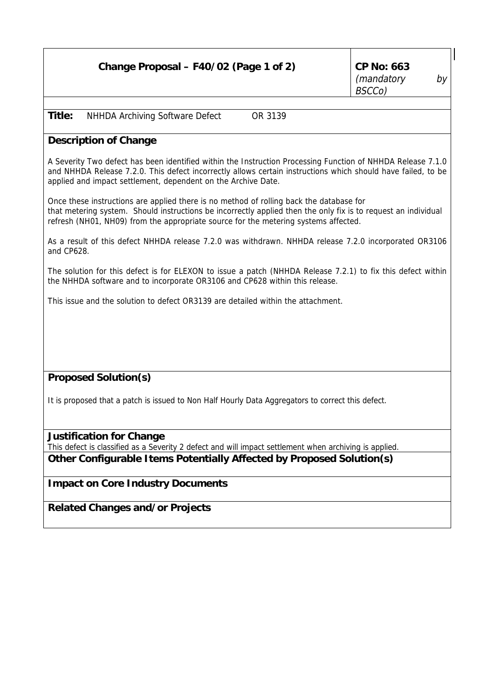|        | Change Proposal – F40/02 (Page 1 of 2)     | CP No: $663$<br>(mandatory<br>BSCCo) | by |
|--------|--------------------------------------------|--------------------------------------|----|
|        |                                            |                                      |    |
| Title: | NHHDA Archiving Software Defect<br>OR 3139 |                                      |    |

## **Description of Change**

A Severity Two defect has been identified within the Instruction Processing Function of NHHDA Release 7.1.0 and NHHDA Release 7.2.0. This defect incorrectly allows certain instructions which should have failed, to be applied and impact settlement, dependent on the Archive Date.

Once these instructions are applied there is no method of rolling back the database for that metering system. Should instructions be incorrectly applied then the only fix is to request an individual refresh (NH01, NH09) from the appropriate source for the metering systems affected.

As a result of this defect NHHDA release 7.2.0 was withdrawn. NHHDA release 7.2.0 incorporated OR3106 and CP628.

The solution for this defect is for ELEXON to issue a patch (NHHDA Release 7.2.1) to fix this defect within the NHHDA software and to incorporate OR3106 and CP628 within this release.

This issue and the solution to defect OR3139 are detailed within the attachment.

## **Proposed Solution(s)**

It is proposed that a patch is issued to Non Half Hourly Data Aggregators to correct this defect.

**Justification for Change**

This defect is classified as a Severity 2 defect and will impact settlement when archiving is applied.

## **Other Configurable Items Potentially Affected by Proposed Solution(s)**

**Impact on Core Industry Documents**

**Related Changes and/or Projects**